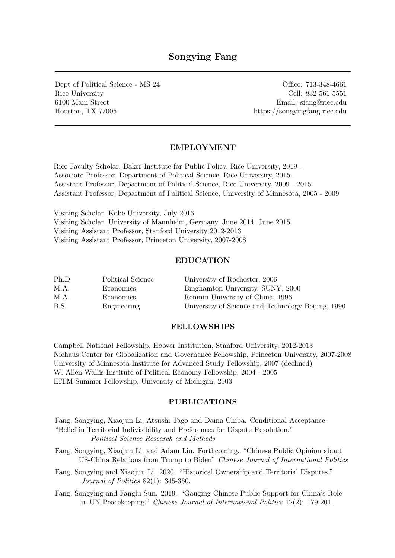# Songying Fang

Dept of Political Science - MS 24 Office: 713-348-4661 Rice University Cell: 832-561-5551 6100 Main Street Email: sfang@rice.edu Houston, TX 77005 https://songyingfang.rice.edu

### EMPLOYMENT

Rice Faculty Scholar, Baker Institute for Public Policy, Rice University, 2019 - Associate Professor, Department of Political Science, Rice University, 2015 - Assistant Professor, Department of Political Science, Rice University, 2009 - 2015 Assistant Professor, Department of Political Science, University of Minnesota, 2005 - 2009

Visiting Scholar, Kobe University, July 2016 Visiting Scholar, University of Mannheim, Germany, June 2014, June 2015 Visiting Assistant Professor, Stanford University 2012-2013 Visiting Assistant Professor, Princeton University, 2007-2008

### EDUCATION

| Ph.D. | Political Science | University of Rochester, 2006                      |
|-------|-------------------|----------------------------------------------------|
| M.A.  | Economics         | Binghamton University, SUNY, 2000                  |
| M.A.  | Economics         | Renmin University of China, 1996                   |
| B.S.  | Engineering       | University of Science and Technology Beijing, 1990 |

#### FELLOWSHIPS

Campbell National Fellowship, Hoover Institution, Stanford University, 2012-2013 Niehaus Center for Globalization and Governance Fellowship, Princeton University, 2007-2008 University of Minnesota Institute for Advanced Study Fellowship, 2007 (declined) W. Allen Wallis Institute of Political Economy Fellowship, 2004 - 2005 EITM Summer Fellowship, University of Michigan, 2003

### PUBLICATIONS

Fang, Songying, Xiaojun Li, Atsushi Tago and Daina Chiba. Conditional Acceptance. "Belief in Territorial Indivisibility and Preferences for Dispute Resolution." Political Science Research and Methods

- Fang, Songying, Xiaojun Li, and Adam Liu. Forthcoming. "Chinese Public Opinion about US-China Relations from Trump to Biden" Chinese Journal of International Politics
- Fang, Songying and Xiaojun Li. 2020. "Historical Ownership and Territorial Disputes." Journal of Politics 82(1): 345-360.
- Fang, Songying and Fanglu Sun. 2019. "Gauging Chinese Public Support for China's Role in UN Peacekeeping." Chinese Journal of International Politics 12(2): 179-201.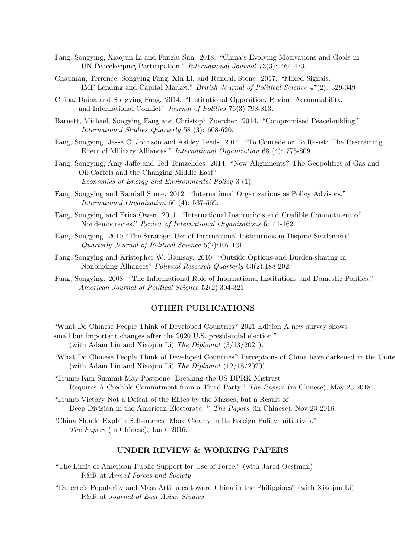- Fang, Songying, Xiaojun Li and Fanglu Sun. 2018. "China's Evolving Motivations and Goals in UN Peacekeeping Participation." International Journal 73(3): 464-473.
- Chapman, Terrence, Songying Fang, Xin Li, and Randall Stone. 2017. "Mixed Signals: IMF Lending and Capital Market." British Journal of Political Science 47(2): 329-349
- Chiba, Daina and Songying Fang. 2014. "Institutional Opposition, Regime Accountability, and International Conflict" Journal of Politics 76(3):798-813.
- Barnett, Michael, Songying Fang and Christoph Zuercher. 2014. "Compromised Peacebuilding." International Studies Quarterly 58 (3): 608-620.
- Fang, Songying, Jesse C. Johnson and Ashley Leeds. 2014. "To Concede or To Resist: The Restraining Effect of Military Alliances." International Organization 68 (4): 775-809.
- Fang, Songying, Amy Jaffe and Ted Temzelides. 2014. "New Alignments? The Geopolitics of Gas and Oil Cartels and the Changing Middle East" Economics of Energy and Environmental Policy 3 (1).
- Fang, Songying and Randall Stone. 2012. "International Organizations as Policy Advisors." International Organization 66 (4): 537-569.
- Fang, Songying and Erica Owen. 2011. "International Institutions and Credible Commitment of Nondemocracies." Review of International Organizations 6:141-162.
- Fang, Songying. 2010."The Strategic Use of International Institutions in Dispute Settlement" Quarterly Journal of Political Science 5(2):107-131.
- Fang, Songying and Kristopher W. Ramsay. 2010. "Outside Options and Burden-sharing in Nonbinding Alliances" Political Research Quarterly 63(2):188-202.
- Fang, Songying. 2008. "The Informational Role of International Institutions and Domestic Politics." American Journal of Political Science 52(2):304-321.

#### OTHER PUBLICATIONS

- "What Do Chinese People Think of Developed Countries? 2021 Edition A new survey shows small but important changes after the 2020 U.S. presidential election." (with Adam Liu and Xiaojun Li) The Diplomat (3/13/2021).
- "What Do Chinese People Think of Developed Countries? Perceptions of China have darkened in the United (with Adam Liu and Xiaojun Li) The Diplomat  $(12/18/2020)$ .
- "Trump-Kim Summit May Postpone: Breaking the US-DPRK Mistrust Requires A Credible Commitment from a Third Party." The Papers (in Chinese), May 23 2018.
- "Trump Victory Not a Defeat of the Elites by the Masses, but a Result of Deep Division in the American Electorate. " The Papers (in Chinese), Nov 23 2016.
- "China Should Explain Self-interest More Clearly in Its Foreign Policy Initiatives." The Papers (in Chinese), Jan 6 2016.

#### UNDER REVIEW & WORKING PAPERS

- "The Limit of American Public Support for Use of Force." (with Jared Oestman) R&R at Armed Forces and Society
- "Duterte's Popularity and Mass Attitudes toward China in the Philippines" (with Xiaojun Li) R&R at Journal of East Asian Studies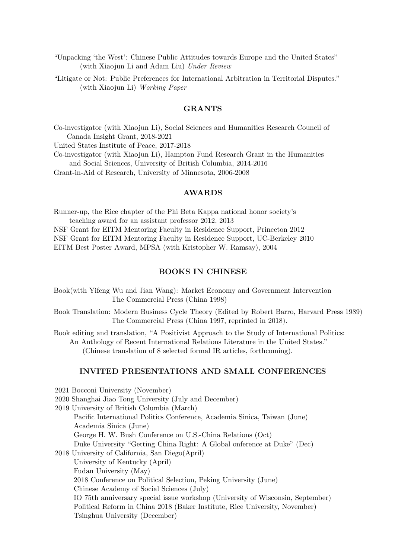"Unpacking 'the West': Chinese Public Attitudes towards Europe and the United States" (with Xiaojun Li and Adam Liu) Under Review

"Litigate or Not: Public Preferences for International Arbitration in Territorial Disputes." (with Xiaojun Li) Working Paper

### GRANTS

Co-investigator (with Xiaojun Li), Social Sciences and Humanities Research Council of Canada Insight Grant, 2018-2021

United States Institute of Peace, 2017-2018

2021 Bocconi University (November)

Co-investigator (with Xiaojun Li), Hampton Fund Research Grant in the Humanities and Social Sciences, University of British Columbia, 2014-2016

Grant-in-Aid of Research, University of Minnesota, 2006-2008

#### AWARDS

Runner-up, the Rice chapter of the Phi Beta Kappa national honor society's teaching award for an assistant professor 2012, 2013

NSF Grant for EITM Mentoring Faculty in Residence Support, Princeton 2012 NSF Grant for EITM Mentoring Faculty in Residence Support, UC-Berkeley 2010 EITM Best Poster Award, MPSA (with Kristopher W. Ramsay), 2004

### BOOKS IN CHINESE

- Book(with Yifeng Wu and Jian Wang): Market Economy and Government Intervention The Commercial Press (China 1998)
- Book Translation: Modern Business Cycle Theory (Edited by Robert Barro, Harvard Press 1989) The Commercial Press (China 1997, reprinted in 2018).

Book editing and translation, "A Positivist Approach to the Study of International Politics: An Anthology of Recent International Relations Literature in the United States." (Chinese translation of 8 selected formal IR articles, forthcoming).

#### INVITED PRESENTATIONS AND SMALL CONFERENCES

2020 Shanghai Jiao Tong University (July and December) 2019 University of British Columbia (March) Pacific International Politics Conference, Academia Sinica, Taiwan (June) Academia Sinica (June) George H. W. Bush Conference on U.S.-China Relations (Oct) Duke University "Getting China Right: A Global onference at Duke" (Dec) 2018 University of California, San Diego(April) University of Kentucky (April) Fudan University (May) 2018 Conference on Political Selection, Peking University (June) Chinese Academy of Social Sciences (July) IO 75th anniversary special issue workshop (University of Wisconsin, September) Political Reform in China 2018 (Baker Institute, Rice University, November) Tsinghua University (December)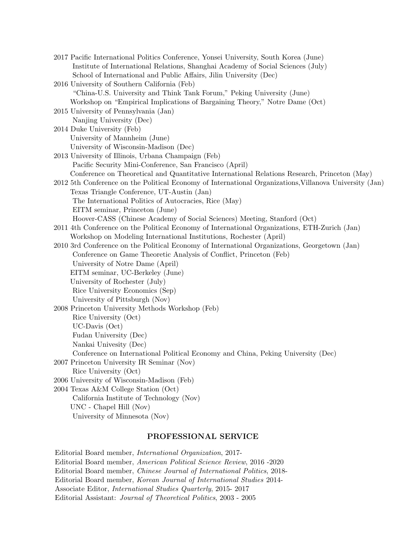| 2017 Pacific International Politics Conference, Yonsei University, South Korea (June)                   |
|---------------------------------------------------------------------------------------------------------|
| Institute of International Relations, Shanghai Academy of Social Sciences (July)                        |
| School of International and Public Affairs, Jilin University (Dec)                                      |
| 2016 University of Southern California (Feb)                                                            |
| "China-U.S. University and Think Tank Forum," Peking University (June)                                  |
| Workshop on "Empirical Implications of Bargaining Theory," Notre Dame (Oct)                             |
| 2015 University of Pennsylvania (Jan)                                                                   |
| Nanjing University (Dec)                                                                                |
| 2014 Duke University (Feb)                                                                              |
| University of Mannheim (June)                                                                           |
| University of Wisconsin-Madison (Dec)                                                                   |
| 2013 University of Illinois, Urbana Champaign (Feb)                                                     |
| Pacific Security Mini-Conference, San Francisco (April)                                                 |
| Conference on Theoretical and Quantitative International Relations Research, Princeton (May)            |
| 2012 5th Conference on the Political Economy of International Organizations, Villanova University (Jan) |
| Texas Triangle Conference, UT-Austin (Jan)                                                              |
| The International Politics of Autocracies, Rice (May)                                                   |
| EITM seminar, Princeton (June)                                                                          |
| Hoover-CASS (Chinese Academy of Social Sciences) Meeting, Stanford (Oct)                                |
| 2011 4th Conference on the Political Economy of International Organizations, ETH-Zurich (Jan)           |
| Workshop on Modeling International Institutions, Rochester (April)                                      |
| 2010 3rd Conference on the Political Economy of International Organizations, Georgetown (Jan)           |
| Conference on Game Theoretic Analysis of Conflict, Princeton (Feb)                                      |
| University of Notre Dame (April)                                                                        |
| EITM seminar, UC-Berkeley (June)                                                                        |
| University of Rochester (July)                                                                          |
| Rice University Economics (Sep)                                                                         |
| University of Pittsburgh (Nov)                                                                          |
| 2008 Princeton University Methods Workshop (Feb)                                                        |
| Rice University (Oct)                                                                                   |
| $UC$ -Davis $(Oct)$                                                                                     |
| Fudan University (Dec)                                                                                  |
| Nankai Univesity (Dec)                                                                                  |
| Conference on International Political Economy and China, Peking University (Dec)                        |
| 2007 Princeton University IR Seminar (Nov)                                                              |
| Rice University (Oct)                                                                                   |
| 2006 University of Wisconsin-Madison (Feb)                                                              |
| 2004 Texas A&M College Station (Oct)                                                                    |
| California Institute of Technology (Nov)                                                                |
| UNC - Chapel Hill (Nov)                                                                                 |
| University of Minnesota (Nov)                                                                           |
|                                                                                                         |

# PROFESSIONAL SERVICE

Editorial Board member, International Organization, 2017- Editorial Board member, American Political Science Review, 2016 -2020 Editorial Board member, Chinese Journal of International Politics, 2018- Editorial Board member, Korean Journal of International Studies 2014- Associate Editor, International Studies Quarterly, 2015- 2017 Editorial Assistant: Journal of Theoretical Politics, 2003 - 2005